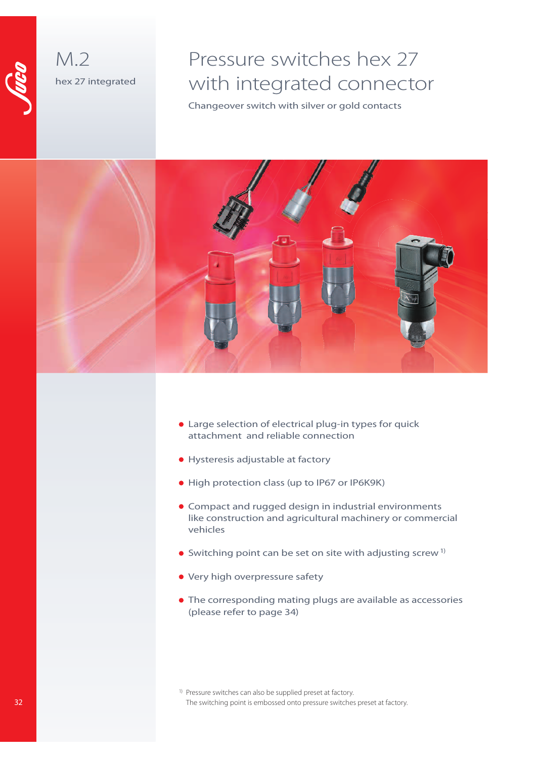



## Pressure switches hex 27 with integrated connector

Changeover switch with silver or gold contacts



- Large selection of electrical plug-in types for quick attachment and reliable connection
- Hysteresis adjustable at factory
- High protection class (up to IP67 or IP6K9K)
- Compact and rugged design in industrial environments like construction and agricultural machinery or commercial vehicles
- $\bullet$  Switching point can be set on site with adjusting screw  $1$ <sup>)</sup>
- Very high overpressure safety
- The corresponding mating plugs are available as accessories (please refer to page 34)
- <sup>1)</sup> Pressure switches can also be supplied preset at factory. The switching point is embossed onto pressure switches preset at factory.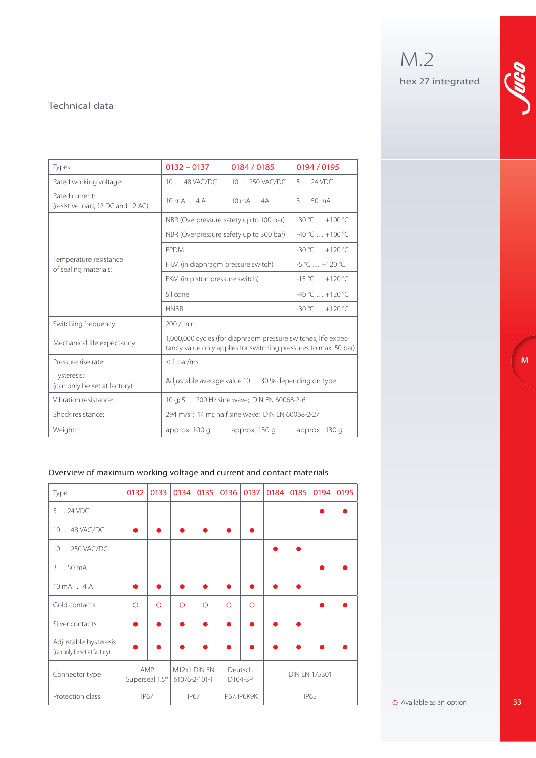M.2 hex 27 integrated

**M**

### Technical data

| Types:                                              | $0132 - 0137$                                                  | 0184 / 0185                                                                                                                        | 0194 / 0195          |  |  |
|-----------------------------------------------------|----------------------------------------------------------------|------------------------------------------------------------------------------------------------------------------------------------|----------------------|--|--|
| Rated working voltage:                              | 10  48 VAC/DC                                                  | 10  250 VAC/DC                                                                                                                     | $524$ VDC            |  |  |
| Rated current:<br>(resistive load, 12 DC and 12 AC) | $10 \text{ mA} \dots 4 \text{ A}$                              | $10 \text{ mA} \dots 4A$                                                                                                           | $350 \text{ mA}$     |  |  |
|                                                     | NBR (Overpressure safety up to 100 bar)                        |                                                                                                                                    | $-30 °C  +100 °C$    |  |  |
|                                                     | NBR (Overpressure safety up to 300 bar)                        |                                                                                                                                    | $-40 °C_{} + 100 °C$ |  |  |
|                                                     | <b>FPDM</b>                                                    |                                                                                                                                    | $-30 °C_{} + 120 °C$ |  |  |
| Temperature resistance<br>of sealing materials:     | FKM (in diaphragm pressure switch)                             | $-5^{\circ}$ C $+120^{\circ}$ C                                                                                                    |                      |  |  |
|                                                     | FKM (in piston pressure switch)                                | $-15^{\circ}$ C $+120^{\circ}$ C                                                                                                   |                      |  |  |
|                                                     | Silicone                                                       | $-40 °C  +120 °C$                                                                                                                  |                      |  |  |
|                                                     | <b>HNBR</b>                                                    | $-30 °C +120 °C$                                                                                                                   |                      |  |  |
| Switching frequency:                                | 200 / min.                                                     |                                                                                                                                    |                      |  |  |
| Mechanical life expectancy:                         |                                                                | 1,000,000 cycles (for diaphragm pressure switches, life expec-<br>tancy value only applies for switching pressures to max. 50 bar) |                      |  |  |
| Pressure rise rate:                                 | $\leq$ 1 bar/ms                                                |                                                                                                                                    |                      |  |  |
| Hysteresis:<br>(can only be set at factory)         | Adjustable average value 10  30 % depending on type            |                                                                                                                                    |                      |  |  |
| Vibration resistance:                               | 10 g; 5  200 Hz sine wave; DIN EN 60068-2-6                    |                                                                                                                                    |                      |  |  |
| Shock resistance:                                   | 294 m/s <sup>2</sup> ; 14 ms half sine wave; DIN EN 60068-2-27 |                                                                                                                                    |                      |  |  |
| Weight:                                             | approx. 100 q                                                  | approx. 130 g                                                                                                                      | approx. 130 g        |  |  |

#### Overview of maximum working voltage and current and contact materials

| Type                                                  | 0132       | 0133                              | 0134          | 0135         | 0136       | 0137               | 0184 | 0185 | 0194                 | 0195 |
|-------------------------------------------------------|------------|-----------------------------------|---------------|--------------|------------|--------------------|------|------|----------------------|------|
| $524$ VDC                                             |            |                                   |               |              |            |                    |      |      |                      |      |
| 10  48 VAC/DC                                         |            |                                   |               |              |            |                    |      |      |                      |      |
| 10  250 VAC/DC                                        |            |                                   |               |              |            |                    |      |      |                      |      |
| 350mA                                                 |            |                                   |               |              |            |                    |      |      |                      |      |
| $10 \text{ mA} \dots 4 \text{ A}$                     |            |                                   |               |              |            |                    |      |      |                      |      |
| Gold contacts                                         | $\bigcirc$ | $\bigcirc$                        | $\Omega$      | $\bigcirc$   | $\bigcirc$ | $\bigcirc$         |      |      |                      |      |
| Silver contacts                                       |            |                                   |               |              |            |                    |      |      |                      |      |
| Adjustable hysteresis<br>(can only be set at factory) |            |                                   |               |              |            |                    |      |      |                      |      |
| Connector type                                        |            | AMP<br>Superseal 1.5 <sup>®</sup> | 61076-2-101-1 | M12x1 DIN EN |            | Deutsch<br>DT04-3P |      |      | <b>DIN EN 175301</b> |      |
| Protection class                                      |            | IP67                              |               | <b>IP67</b>  |            | IP67, IP6K9K       |      |      | <b>IP65</b>          |      |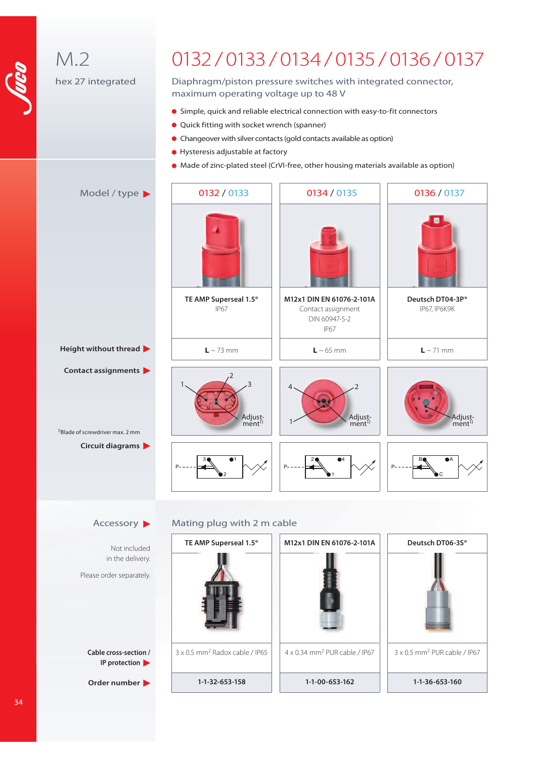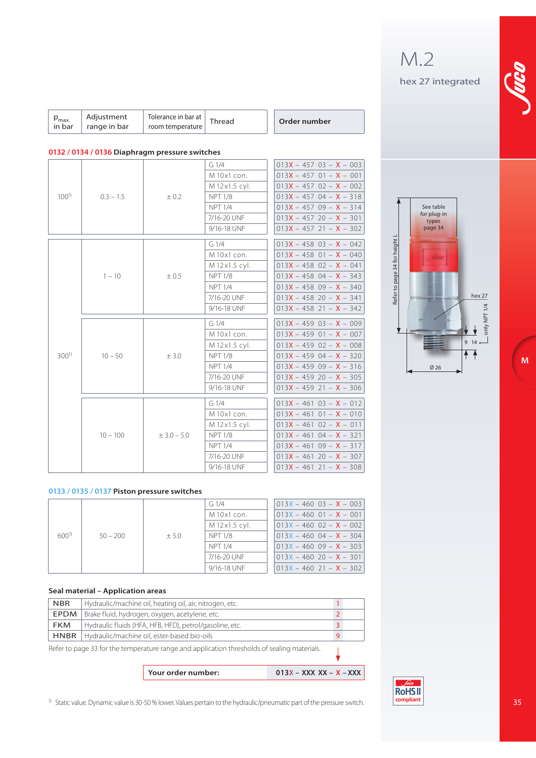| $max$<br>in bar | Adjustment<br>range in bar | Tolerance in bar at $\vert$ Thread<br>room temperature |  |  | Order number |
|-----------------|----------------------------|--------------------------------------------------------|--|--|--------------|
|-----------------|----------------------------|--------------------------------------------------------|--|--|--------------|

#### **0132 / 0134 / 0136 Diaphragm pressure switches**

|                  |             |               | $G_1/4$          | $013X - 457$ 03 - X - 003   |
|------------------|-------------|---------------|------------------|-----------------------------|
|                  |             |               | M 10x1 con.      | $013X - 457$ 01 - $X - 001$ |
|                  |             |               | M 12x1.5 cyl.    | $013X - 457$ 02 - X - 002   |
| $100^{1}$        | $0.3 - 1.5$ | $\pm 0.2$     | <b>NPT 1/8</b>   | $013X - 45704 - X - 318$    |
|                  |             |               | <b>NPT 1/4</b>   | $013X - 45709 - X - 314$    |
|                  |             |               | 7/16-20 UNF      | $013X - 45720 - X - 301$    |
|                  |             |               | 9/16-18 UNF      | $013X - 457$ 21 - $X - 302$ |
|                  |             |               | G <sub>1/4</sub> | $013X - 458$ 03 - X - 042   |
|                  |             |               | M 10x1 con.      | $013X - 458$ 01 - $X - 040$ |
|                  |             |               | M 12x1.5 cyl.    | $013X - 458$ 02 - X - 041   |
|                  | $1 - 10$    | ± 0.5         | <b>NPT 1/8</b>   | $013X - 458$ 04 - X - 343   |
|                  |             |               | <b>NPT 1/4</b>   | $013X - 45809 - X - 340$    |
|                  |             |               | 7/16-20 UNF      | $013X - 458$ 20 - X - 341   |
|                  |             |               | 9/16-18 UNF      | $013X - 458$ 21 - $X - 342$ |
|                  | $10 - 50$   | ± 3.0         | G <sub>1/4</sub> | $013X - 459$ 03 - $X - 009$ |
|                  |             |               | M 10x1 con.      | $013X - 459$ 01 - $X - 007$ |
|                  |             |               | M 12x1.5 cyl.    | $013X - 459$ 02 - X - 008   |
| 300 <sup>1</sup> |             |               | <b>NPT 1/8</b>   | $013X - 45904 - X - 320$    |
|                  |             |               | <b>NPT 1/4</b>   | $013X - 45909 - X - 316$    |
|                  |             |               | 7/16-20 UNF      | $013X - 45920 - X - 305$    |
|                  |             |               | 9/16-18 UNF      | $013X - 45921 - X - 306$    |
|                  |             |               | G <sub>1/4</sub> | $013X - 461$ $03 - X - 012$ |
|                  |             |               | M 10x1 con.      | $013X - 461$ 01 - $X - 010$ |
|                  |             |               | M 12x1.5 cyl.    | $013X - 461$ $02 - X - 011$ |
|                  | $10 - 100$  | $± 3.0 - 5.0$ | <b>NPT 1/8</b>   | $013X - 46104 - X - 321$    |
|                  |             |               | <b>NPT 1/4</b>   | $013X - 46109 - X - 317$    |
|                  |             |               | 7/16-20 UNF      | $013X - 46120 - X - 307$    |
|                  |             |               | 9/16-18 UNF      | $013X - 46121 - X - 308$    |

#### **0133 / 0135 / 0137 Piston pressure switches**

|           |            |        | $G_1/4$       | $013X - 460$ 03 - $X - 003$ |                          |
|-----------|------------|--------|---------------|-----------------------------|--------------------------|
|           |            |        | M 10x1 con.   | $013X - 460$ $01 - X - 001$ |                          |
|           |            |        | M 12x1.5 cyl. | $013X - 460$ $02 - X - 002$ |                          |
| $600^{1}$ | $50 - 200$ | $+5.0$ | NPT 1/8       | $013X - 460$ 04 - $X - 304$ |                          |
|           |            |        |               | <b>NPT 1/4</b>              | $013X - 46009 - X - 303$ |
|           |            |        | 7/16-20 UNF   | $013X - 46020 - X - 301$    |                          |
|           |            |        | 9/16-18 UNF   | $013X - 460$ 21 - $X - 302$ |                          |

#### **Seal material – Application areas**

| <b>NBR</b> | Hydraulic/machine oil, heating oil, air, nitrogen, etc.      |  |
|------------|--------------------------------------------------------------|--|
|            | <b>EPDM</b>   Brake fluid, hydrogen, oxygen, acetylene, etc. |  |
| FKM        | Hydraulic fluids (HFA, HFB, HFD), petrol/gasoline, etc.      |  |
|            | HNBR   Hydraulic/machine oil, ester-based bio-oils           |  |

Refer to page 33 for the temperature range and application thresholds of sealing materials.

| Your order number: | $013X - XXX XX - X - XXX$ |
|--------------------|---------------------------|
|                    |                           |

1) Static value. Dynamic value is 30-50 % lower. Values pertain to the hydraulic/pneumatic part of the pressure switch.

 $\downarrow$ 



**M**



M.2

hex 27 integrated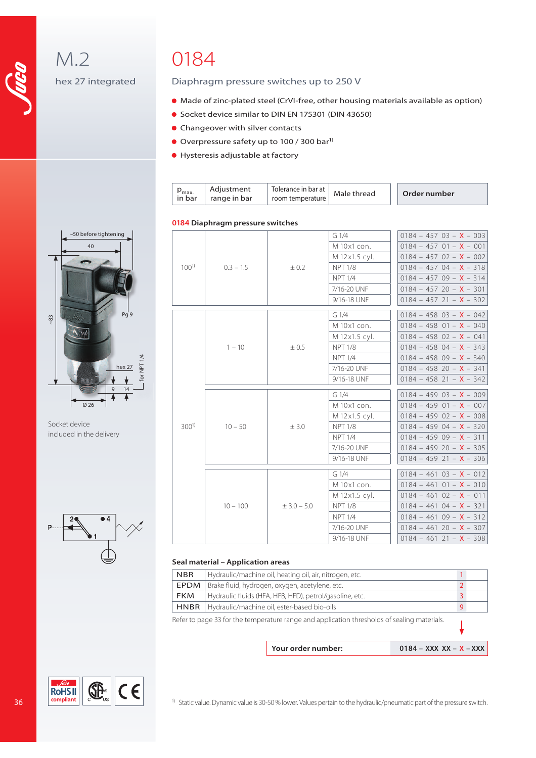M.2 hex 27 integrated

## 0184

#### Diaphragm pressure switches up to 250 V

- Made of zinc-plated steel (CrVI-free, other housing materials available as option)
- Socket device similar to DIN EN 175301 (DIN 43650)
- **Changeover with silver contacts**
- Overpressure safety up to 100 / 300 bar<sup>1)</sup>
- Hysteresis adjustable at factory

| $P_{\text{max}}$<br>in bar | Adjustment<br>range in bar | room temperature | $\text{Part}$   Tolerance in bar at   Male thread |  | Order number |
|----------------------------|----------------------------|------------------|---------------------------------------------------|--|--------------|
|----------------------------|----------------------------|------------------|---------------------------------------------------|--|--------------|

#### **0184 Diaphragm pressure switches**

|                  |             |               | $G_1/4$        | $0184 - 457 03 - X - 003$        |
|------------------|-------------|---------------|----------------|----------------------------------|
|                  |             |               | M 10x1 con.    | $0184 - 457$ 01 - <b>X</b> - 001 |
|                  |             |               | M 12x1.5 cyl.  | $0184 - 457$ $02 - X - 002$      |
| $100^{1}$        | $0.3 - 1.5$ | ± 0.2         | <b>NPT 1/8</b> | $0184 - 45704 - X - 318$         |
|                  |             |               | <b>NPT 1/4</b> | $0184 - 45709 - X - 314$         |
|                  |             |               | 7/16-20 UNF    | $0184 - 45720 - X - 301$         |
|                  |             |               | 9/16-18 UNF    | $0184 - 457$ 21 - <b>X</b> - 302 |
|                  |             |               | G1/4           | $0184 - 458$ 03 - <b>X</b> - 042 |
|                  |             |               | M 10x1 con.    | $0184 - 458$ $01 - X - 040$      |
|                  |             |               |                |                                  |
|                  |             |               | M 12x1.5 cyl.  | $0184 - 458$ $02 - X - 041$      |
|                  | $1 - 10$    | ± 0.5         | <b>NPT 1/8</b> | $0184 - 458$ 04 - <b>X</b> - 343 |
|                  |             |               | <b>NPT 1/4</b> | $0184 - 458$ 09 - <b>X</b> - 340 |
|                  |             |               | 7/16-20 UNF    | $0184 - 458$ 20 - <b>X</b> - 341 |
|                  |             |               | 9/16-18 UNF    | $0184 - 458$ 21 - <b>X</b> - 342 |
|                  | $10 - 50$   |               | G1/4           | $0184 - 459$ 03 - <b>X</b> - 009 |
|                  |             |               | M 10x1 con.    | $0184 - 459$ 01 - <b>X</b> - 007 |
|                  |             |               | M 12x1.5 cyl.  | $0184 - 459$ $02 - X - 008$      |
| 300 <sup>1</sup> |             | ± 3.0         | <b>NPT 1/8</b> | $0184 - 459$ 04 - <b>X</b> - 320 |
|                  |             |               | <b>NPT 1/4</b> | $0184 - 45909 - X - 311$         |
|                  |             |               | 7/16-20 UNF    | $0184 - 459$ 20 - <b>X</b> - 305 |
|                  |             |               | 9/16-18 UNF    | $0184 - 459$ 21 - <b>X</b> - 306 |
|                  |             |               | G1/4           | $0184 - 461$ $03 - X - 012$      |
|                  |             |               | M 10x1 con.    | $0184 - 461$ $01 - X - 010$      |
|                  |             |               | M 12x1.5 cyl.  | $0184 - 461$ $02 - X - 011$      |
|                  | $10 - 100$  | $± 3.0 - 5.0$ | <b>NPT 1/8</b> | $0184 - 461$ 04 - <b>X</b> - 321 |
|                  |             |               | <b>NPT 1/4</b> | $0184 - 461$ 09 - <b>X</b> - 312 |
|                  |             |               | 7/16-20 UNF    | $0184 - 46120 - X - 307$         |
|                  |             |               | 9/16-18 UNF    | $0184 - 46121 - X - 308$         |
|                  |             |               |                |                                  |

#### **Seal material – Application areas**

| <b>NBR</b>  | Hydraulic/machine oil, heating oil, air, nitrogen, etc.                                     |  |
|-------------|---------------------------------------------------------------------------------------------|--|
| EPDM        | Brake fluid, hydrogen, oxygen, acetylene, etc.                                              |  |
| <b>FKM</b>  | Hydraulic fluids (HFA, HFB, HFD), petrol/gasoline, etc.                                     |  |
| <b>HNBR</b> | Hydraulic/machine oil, ester-based bio-oils                                                 |  |
|             | Refer to page 33 for the temperature range and application thresholds of sealing materials. |  |
|             |                                                                                             |  |

**Your order number: 0184 – XXX XX – X – XXX** 



Socket device included in the delivery



**RoHSII** compliant



<sup>1)</sup> Static value. Dynamic value is 30-50 % lower. Values pertain to the hydraulic/pneumatic part of the pressure switch.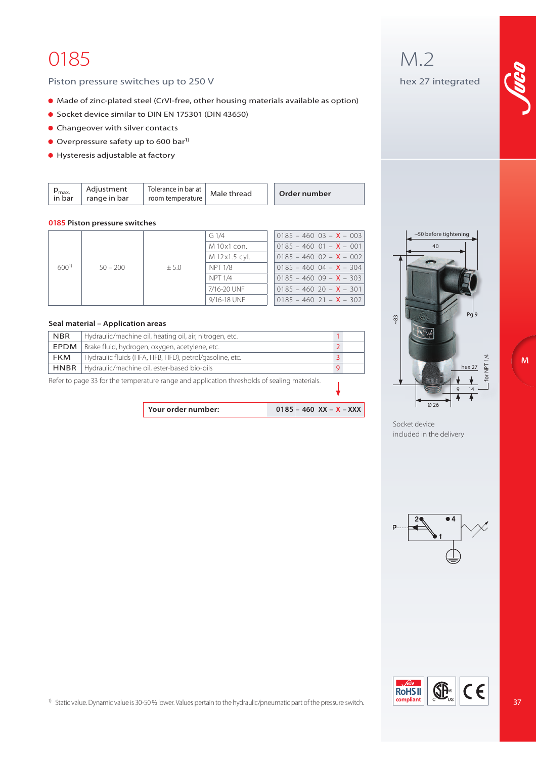## 0185

#### Piston pressure switches up to 250 V

- Made of zinc-plated steel (CrVI-free, other housing materials available as option)
- Socket device similar to DIN EN 175301 (DIN 43650)
- **Changeover with silver contacts**
- $\bullet$  Overpressure safety up to 600 bar<sup>1)</sup>
- Hysteresis adjustable at factory

| Order number | reag<br>Male | $\overline{\phantom{a}}$<br>Tolerance in bar at<br>room temperature | Adjustment<br>range in bar | max.<br>in bar |
|--------------|--------------|---------------------------------------------------------------------|----------------------------|----------------|
|--------------|--------------|---------------------------------------------------------------------|----------------------------|----------------|

#### **0185 Piston pressure switches**

|           |            |        | $G_1/4$        | $0185 - 460$ $03 - X - 003$      |
|-----------|------------|--------|----------------|----------------------------------|
|           |            |        | M 10x1 con.    | $0185 - 460$ $01 - X - 001$      |
|           |            |        | M 12x1.5 cyl.  | $0185 - 460$ $02 - X - 002$      |
| $600^{1}$ | $50 - 200$ | $+5.0$ | NPT 1/8        | $0185 - 460$ 04 - <b>X</b> - 304 |
|           |            |        | <b>NPT 1/4</b> | $0185 - 46009 - X - 303$         |
|           |            |        | 7/16-20 UNF    | $0185 - 460$ 20 - <b>X</b> - 301 |
|           |            |        | 9/16-18 UNF    | $0185 - 460$ 21 - <b>X</b> - 302 |

#### **Seal material – Application areas**

| <b>NBR</b> | Hydraulic/machine oil, heating oil, air, nitrogen, etc.                                     |   |  |
|------------|---------------------------------------------------------------------------------------------|---|--|
| EPDM       | Brake fluid, hydrogen, oxygen, acetylene, etc.                                              |   |  |
| <b>FKM</b> | Hydraulic fluids (HFA, HFB, HFD), petrol/gasoline, etc.                                     |   |  |
|            | <b>HNBR</b>   Hydraulic/machine oil, ester-based bio-oils                                   | 9 |  |
|            | Refer to page 33 for the temperature range and application thresholds of sealing materials. |   |  |

| Your order number: | 0185 - 460 XX - X - XXX |
|--------------------|-------------------------|

# M.2

hex 27 integrated





Socket device included in the delivery





1) Static value. Dynamic value is 30-50 % lower. Values pertain to the hydraulic/pneumatic part of the pressure switch.

37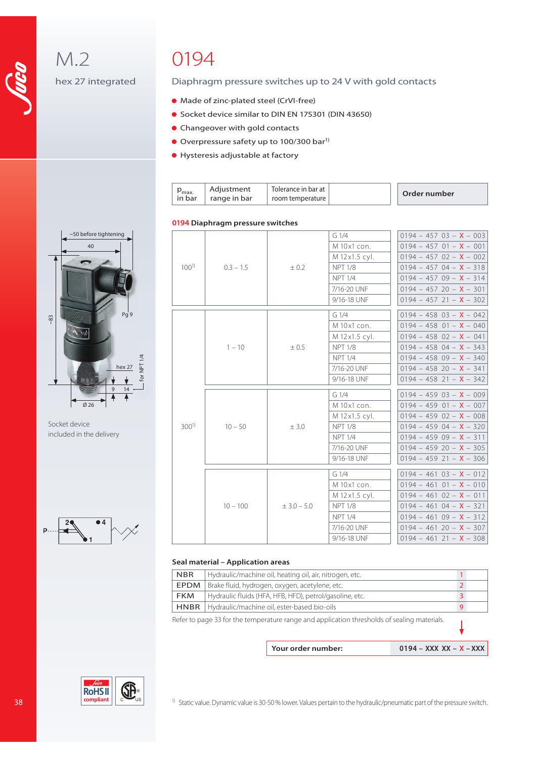M.2

hex 27 integrated

## 0194

#### Diaphragm pressure switches up to 24 V with gold contacts

- Made of zinc-plated steel (CrVI-free)
- Socket device similar to DIN EN 175301 (DIN 43650)
- Changeover with gold contacts
- $\bullet$  Overpressure safety up to 100/300 bar<sup>1)</sup>
- Hysteresis adjustable at factory

| $P_{\text{max}}$ | Adjustment   | Tolerance in bar at |  | Order number |
|------------------|--------------|---------------------|--|--------------|
| in bar           | range in bar | room temperature    |  |              |

#### **0194 Diaphragm pressure switches**

|           |             |               | G <sub>1/4</sub> | $0194 - 457 03 - X - 003$        |
|-----------|-------------|---------------|------------------|----------------------------------|
|           |             |               | M 10x1 con.      | $0194 - 457$ 01 - <b>X</b> - 001 |
|           |             |               | M 12x1.5 cyl.    | $0194 - 457 02 - X - 002$        |
| $100^{1}$ | $0.3 - 1.5$ | $\pm 0.2$     | <b>NPT 1/8</b>   | $0194 - 45704 - X - 318$         |
|           |             |               | <b>NPT 1/4</b>   | $0194 - 45709 - X - 314$         |
|           |             |               | 7/16-20 UNF      | $0194 - 457$ 20 - <b>X</b> - 301 |
|           |             |               | 9/16-18 UNF      | $0194 - 457$ 21 - <b>X</b> - 302 |
|           |             |               | G <sub>1/4</sub> | $0194 - 458$ 03 - <b>X</b> - 042 |
|           |             |               | M 10x1 con.      | $0194 - 458$ 01 - <b>X</b> - 040 |
|           |             | ± 0.5         | M 12x1.5 cyl.    | $0194 - 458$ $02 - X - 041$      |
|           |             |               |                  |                                  |
|           | $1 - 10$    |               | <b>NPT 1/8</b>   | $0194 - 458$ 04 - <b>X</b> - 343 |
|           |             |               | <b>NPT 1/4</b>   | $0194 - 458$ 09 - <b>X</b> - 340 |
|           |             |               | 7/16-20 UNF      | $0194 - 458$ 20 - <b>X</b> - 341 |
|           |             |               | 9/16-18 UNF      | $0194 - 458$ 21 - <b>X</b> - 342 |
|           | $10 - 50$   | ± 3.0         | G <sub>1/4</sub> | $0194 - 459$ 03 - <b>X</b> - 009 |
|           |             |               | M 10x1 con.      | $0194 - 459$ 01 - <b>X</b> - 007 |
|           |             |               | M 12x1.5 cyl.    | $0194 - 459$ 02 - <b>X</b> - 008 |
| $300^{1}$ |             |               | <b>NPT 1/8</b>   | $0194 - 459$ 04 - <b>X</b> - 320 |
|           |             |               | <b>NPT 1/4</b>   | $0194 - 45909 - X - 311$         |
|           |             |               | 7/16-20 UNF      | $0194 - 459$ 20 - <b>X</b> - 305 |
|           |             |               | 9/16-18 UNF      | $0194 - 459$ 21 - <b>X</b> - 306 |
|           |             |               | G <sub>1/4</sub> | $0194 - 461$ $03 - X - 012$      |
|           |             | $± 3.0 - 5.0$ | M 10x1 con.      | $0194 - 461$ $01 - X - 010$      |
|           |             |               | M 12x1.5 cyl.    | $0194 - 461$ $02 - X - 011$      |
|           | $10 - 100$  |               | <b>NPT 1/8</b>   | $0194 - 461$ 04 - <b>X</b> - 321 |
|           |             |               | <b>NPT 1/4</b>   | $0194 - 46109 - X - 312$         |
|           |             |               | 7/16-20 UNF      | $0194 - 46120 - X - 307$         |
|           |             |               | 9/16-18 UNF      | $0194 - 461$ 21 - <b>X</b> - 308 |
|           |             |               |                  |                                  |

#### **Seal material – Application areas**

| Hydraulic/machine oil, heating oil, air, nitrogen, etc.<br><b>NBR</b>                       |    |
|---------------------------------------------------------------------------------------------|----|
| Brake fluid, hydrogen, oxygen, acetylene, etc.<br>EPDM                                      |    |
| Hydraulic fluids (HFA, HFB, HFD), petrol/gasoline, etc.<br><b>FKM</b>                       | 3  |
| Hydraulic/machine oil, ester-based bio-oils<br><b>HNBR</b>                                  | -9 |
| Refer to page 33 for the temperature range and application thresholds of sealing materials. |    |

**Your order number: 0194 – XXX XX – X – XXX** 



~50 before tightening 40

Socket device included in the delivery





<sup>1)</sup> Static value. Dynamic value is 30-50 % lower. Values pertain to the hydraulic/pneumatic part of the pressure switch.